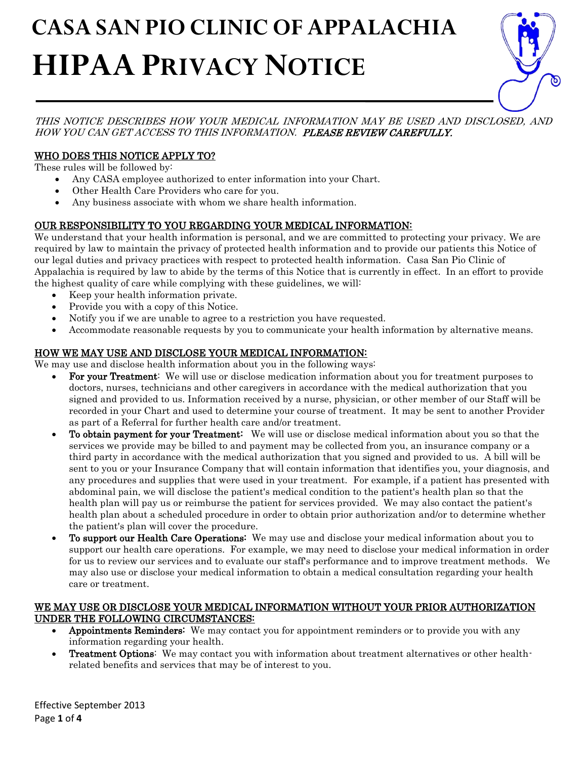# $\overline{a}$  **CASA SAN PIO CLINIC OF APPALACHIA HIPAA PRIVACY NOTICE**



THIS NOTICE DESCRIBES HOW YOUR MEDICAL INFORMATION MAY BE USED AND DISCLOSED, AND HOW YOU CAN GET ACCESS TO THIS INFORMATION. PLEASE REVIEW CAREFULLY.

## WHO DOES THIS NOTICE APPLY TO?

These rules will be followed by:

- Any CASA employee authorized to enter information into your Chart.
- Other Health Care Providers who care for you.
- Any business associate with whom we share health information.

## OUR RESPONSIBILITY TO YOU REGARDING YOUR MEDICAL INFORMATION:

We understand that your health information is personal, and we are committed to protecting your privacy. We are required by law to maintain the privacy of protected health information and to provide our patients this Notice of our legal duties and privacy practices with respect to protected health information. Casa San Pio Clinic of Appalachia is required by law to abide by the terms of this Notice that is currently in effect. In an effort to provide the highest quality of care while complying with these guidelines, we will:

- Keep your health information private.
- Provide you with a copy of this Notice.
- Notify you if we are unable to agree to a restriction you have requested.
- Accommodate reasonable requests by you to communicate your health information by alternative means.

# HOW WE MAY USE AND DISCLOSE YOUR MEDICAL INFORMATION:

We may use and disclose health information about you in the following ways:

- For your Treatment: We will use or disclose medication information about you for treatment purposes to doctors, nurses, technicians and other caregivers in accordance with the medical authorization that you signed and provided to us. Information received by a nurse, physician, or other member of our Staff will be recorded in your Chart and used to determine your course of treatment. It may be sent to another Provider as part of a Referral for further health care and/or treatment.
- To obtain payment for your Treatment: We will use or disclose medical information about you so that the services we provide may be billed to and payment may be collected from you, an insurance company or a third party in accordance with the medical authorization that you signed and provided to us. A bill will be sent to you or your Insurance Company that will contain information that identifies you, your diagnosis, and any procedures and supplies that were used in your treatment. For example, if a patient has presented with abdominal pain, we will disclose the patient's medical condition to the patient's health plan so that the health plan will pay us or reimburse the patient for services provided. We may also contact the patient's health plan about a scheduled procedure in order to obtain prior authorization and/or to determine whether the patient's plan will cover the procedure.
- To support our Health Care Operations: We may use and disclose your medical information about you to support our health care operations. For example, we may need to disclose your medical information in order for us to review our services and to evaluate our staff's performance and to improve treatment methods. We may also use or disclose your medical information to obtain a medical consultation regarding your health care or treatment.

#### WE MAY USE OR DISCLOSE YOUR MEDICAL INFORMATION WITHOUT YOUR PRIOR AUTHORIZATION UNDER THE FOLLOWING CIRCUMSTANCES:

- Appointments Reminders: We may contact you for appointment reminders or to provide you with any information regarding your health.
- Treatment Options: We may contact you with information about treatment alternatives or other healthrelated benefits and services that may be of interest to you.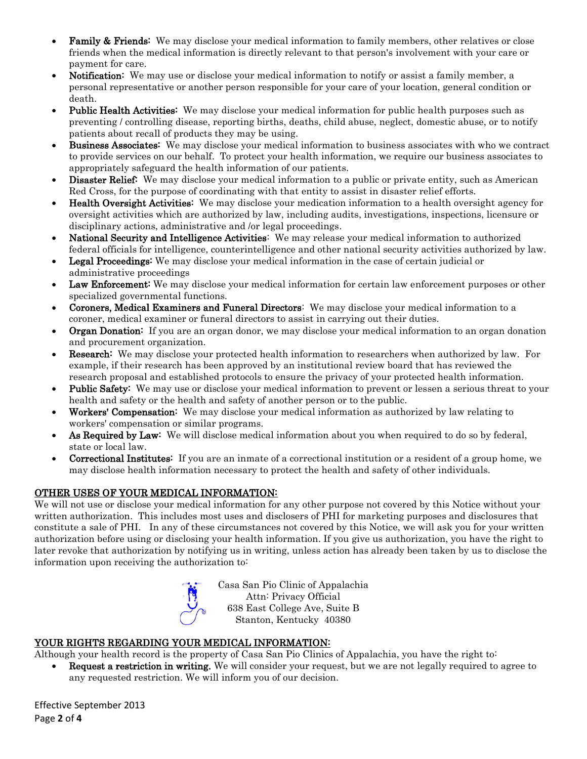- **Family & Friends:** We may disclose your medical information to family members, other relatives or close friends when the medical information is directly relevant to that person's involvement with your care or payment for care.
- **Notification:** We may use or disclose your medical information to notify or assist a family member, a personal representative or another person responsible for your care of your location, general condition or death.
- Public Health Activities: We may disclose your medical information for public health purposes such as preventing / controlling disease, reporting births, deaths, child abuse, neglect, domestic abuse, or to notify patients about recall of products they may be using.
- Business Associates: We may disclose your medical information to business associates with who we contract to provide services on our behalf. To protect your health information, we require our business associates to appropriately safeguard the health information of our patients.
- **Disaster Relief:** We may disclose your medical information to a public or private entity, such as American Red Cross, for the purpose of coordinating with that entity to assist in disaster relief efforts.
- Health Oversight Activities: We may disclose your medication information to a health oversight agency for oversight activities which are authorized by law, including audits, investigations, inspections, licensure or disciplinary actions, administrative and /or legal proceedings.
- National Security and Intelligence Activities: We may release your medical information to authorized federal officials for intelligence, counterintelligence and other national security activities authorized by law.
- Legal Proceedings: We may disclose your medical information in the case of certain judicial or administrative proceedings
- Law Enforcement: We may disclose your medical information for certain law enforcement purposes or other specialized governmental functions.
- Coroners, Medical Examiners and Funeral Directors: We may disclose your medical information to a coroner, medical examiner or funeral directors to assist in carrying out their duties.
- **Organ Donation:** If you are an organ donor, we may disclose your medical information to an organ donation and procurement organization.
- **Research:** We may disclose your protected health information to researchers when authorized by law. For example, if their research has been approved by an institutional review board that has reviewed the research proposal and established protocols to ensure the privacy of your protected health information.
- **Public Safety:** We may use or disclose your medical information to prevent or lessen a serious threat to your health and safety or the health and safety of another person or to the public.
- Workers' Compensation: We may disclose your medical information as authorized by law relating to workers' compensation or similar programs.
- As Required by Law: We will disclose medical information about you when required to do so by federal, state or local law.
- Correctional Institutes: If you are an inmate of a correctional institution or a resident of a group home, we may disclose health information necessary to protect the health and safety of other individuals.

# OTHER USES OF YOUR MEDICAL INFORMATION:

We will not use or disclose your medical information for any other purpose not covered by this Notice without your written authorization. This includes most uses and disclosers of PHI for marketing purposes and disclosures that constitute a sale of PHI. In any of these circumstances not covered by this Notice, we will ask you for your written authorization before using or disclosing your health information. If you give us authorization, you have the right to later revoke that authorization by notifying us in writing, unless action has already been taken by us to disclose the information upon receiving the authorization to:

Casa San Pio Clinic of Appalachia Attn: Privacy Official 638 East College Ave, Suite B Stanton, Kentucky 40380

## YOUR RIGHTS REGARDING YOUR MEDICAL INFORMATION:

Although your health record is the property of Casa San Pio Clinics of Appalachia, you have the right to:

• Request a restriction in writing. We will consider your request, but we are not legally required to agree to any requested restriction. We will inform you of our decision.

Effective September 2013 Page **2** of **4**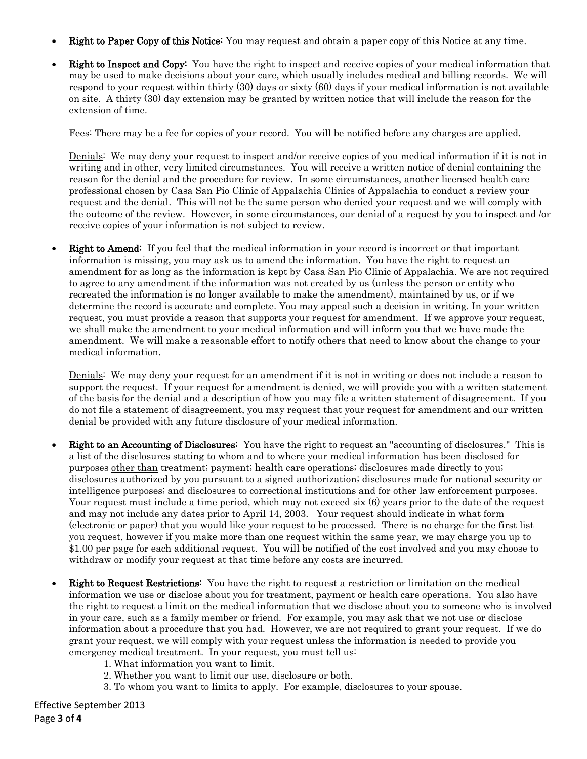- **Right to Paper Copy of this Notice:** You may request and obtain a paper copy of this Notice at any time.
- Right to Inspect and Copy: You have the right to inspect and receive copies of your medical information that may be used to make decisions about your care, which usually includes medical and billing records. We will respond to your request within thirty (30) days or sixty (60) days if your medical information is not available on site. A thirty (30) day extension may be granted by written notice that will include the reason for the extension of time.

Fees: There may be a fee for copies of your record. You will be notified before any charges are applied.

Denials: We may deny your request to inspect and/or receive copies of you medical information if it is not in writing and in other, very limited circumstances. You will receive a written notice of denial containing the reason for the denial and the procedure for review. In some circumstances, another licensed health care professional chosen by Casa San Pio Clinic of Appalachia Clinics of Appalachia to conduct a review your request and the denial. This will not be the same person who denied your request and we will comply with the outcome of the review. However, in some circumstances, our denial of a request by you to inspect and /or receive copies of your information is not subject to review.

**Right to Amend:** If you feel that the medical information in your record is incorrect or that important information is missing, you may ask us to amend the information. You have the right to request an amendment for as long as the information is kept by Casa San Pio Clinic of Appalachia. We are not required to agree to any amendment if the information was not created by us (unless the person or entity who recreated the information is no longer available to make the amendment), maintained by us, or if we determine the record is accurate and complete. You may appeal such a decision in writing. In your written request, you must provide a reason that supports your request for amendment. If we approve your request, we shall make the amendment to your medical information and will inform you that we have made the amendment. We will make a reasonable effort to notify others that need to know about the change to your medical information.

Denials: We may deny your request for an amendment if it is not in writing or does not include a reason to support the request. If your request for amendment is denied, we will provide you with a written statement of the basis for the denial and a description of how you may file a written statement of disagreement. If you do not file a statement of disagreement, you may request that your request for amendment and our written denial be provided with any future disclosure of your medical information.

- **Right to an Accounting of Disclosures:** You have the right to request an "accounting of disclosures." This is a list of the disclosures stating to whom and to where your medical information has been disclosed for purposes other than treatment; payment; health care operations; disclosures made directly to you; disclosures authorized by you pursuant to a signed authorization; disclosures made for national security or intelligence purposes; and disclosures to correctional institutions and for other law enforcement purposes. Your request must include a time period, which may not exceed six (6) years prior to the date of the request and may not include any dates prior to April 14, 2003. Your request should indicate in what form (electronic or paper) that you would like your request to be processed. There is no charge for the first list you request, however if you make more than one request within the same year, we may charge you up to \$1.00 per page for each additional request. You will be notified of the cost involved and you may choose to withdraw or modify your request at that time before any costs are incurred.
- **Right to Request Restrictions:** You have the right to request a restriction or limitation on the medical information we use or disclose about you for treatment, payment or health care operations. You also have the right to request a limit on the medical information that we disclose about you to someone who is involved in your care, such as a family member or friend. For example, you may ask that we not use or disclose information about a procedure that you had. However, we are not required to grant your request. If we do grant your request, we will comply with your request unless the information is needed to provide you emergency medical treatment. In your request, you must tell us:
	- 1. What information you want to limit.
	- 2. Whether you want to limit our use, disclosure or both.
	- 3. To whom you want to limits to apply. For example, disclosures to your spouse.

Effective September 2013 Page **3** of **4**